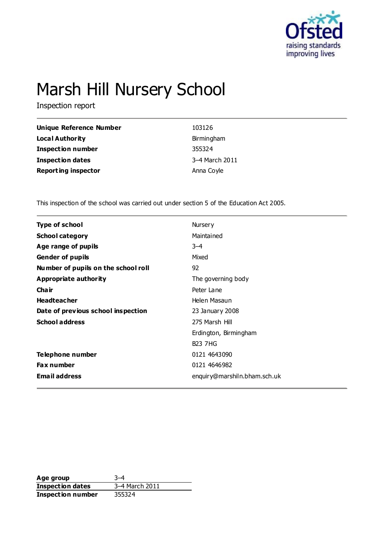

# Marsh Hill Nursery School

Inspection report

| Unique Reference Number    | 103126         |
|----------------------------|----------------|
| <b>Local Authority</b>     | Birmingham     |
| <b>Inspection number</b>   | 355324         |
| <b>Inspection dates</b>    | 3-4 March 2011 |
| <b>Reporting inspector</b> | Anna Coyle     |

This inspection of the school was carried out under section 5 of the Education Act 2005.

| <b>Type of school</b>               | Nursery                      |
|-------------------------------------|------------------------------|
| <b>School category</b>              | Maintained                   |
| Age range of pupils                 | $3 - 4$                      |
| <b>Gender of pupils</b>             | Mixed                        |
| Number of pupils on the school roll | 92                           |
| Appropriate authority               | The governing body           |
| Cha ir                              | Peter Lane                   |
| <b>Headteacher</b>                  | Helen Masaun                 |
| Date of previous school inspection  | 23 January 2008              |
| <b>School address</b>               | 275 Marsh Hill               |
|                                     | Erdington, Birmingham        |
|                                     | <b>B23 7HG</b>               |
| Telephone number                    | 0121 4643090                 |
| <b>Fax number</b>                   | 0121 4646982                 |
| <b>Email address</b>                | enquiry@marshiln.bham.sch.uk |
|                                     |                              |

**Age group** 3–4 **Inspection dates** 3–4 March 2011 **Inspection number** 355324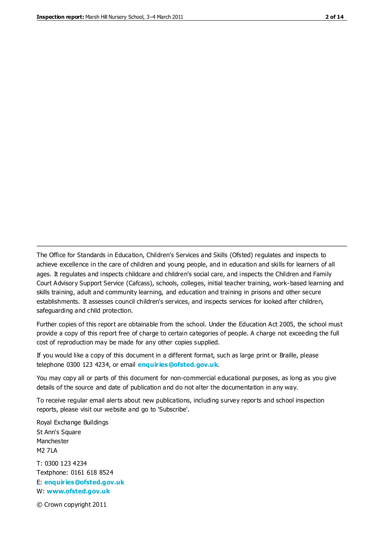The Office for Standards in Education, Children's Services and Skills (Ofsted) regulates and inspects to achieve excellence in the care of children and young people, and in education and skills for learners of all ages. It regulates and inspects childcare and children's social care, and inspects the Children and Family Court Advisory Support Service (Cafcass), schools, colleges, initial teacher training, work-based learning and skills training, adult and community learning, and education and training in prisons and other secure establishments. It assesses council children's services, and inspects services for looked after children, safeguarding and child protection.

Further copies of this report are obtainable from the school. Under the Education Act 2005, the school must provide a copy of this report free of charge to certain categories of people. A charge not exceeding the full cost of reproduction may be made for any other copies supplied.

If you would like a copy of this document in a different format, such as large print or Braille, please telephone 0300 123 4234, or email **[enquiries@ofsted.gov.uk](mailto:enquiries@ofsted.gov.uk)**.

You may copy all or parts of this document for non-commercial educational purposes, as long as you give details of the source and date of publication and do not alter the documentation in any way.

To receive regular email alerts about new publications, including survey reports and school inspection reports, please visit our website and go to 'Subscribe'.

Royal Exchange Buildings St Ann's Square Manchester M2 7LA T: 0300 123 4234 Textphone: 0161 618 8524 E: **[enquiries@ofsted.gov.uk](mailto:enquiries@ofsted.gov.uk)**

W: **[www.ofsted.gov.uk](http://www.ofsted.gov.uk/)**

© Crown copyright 2011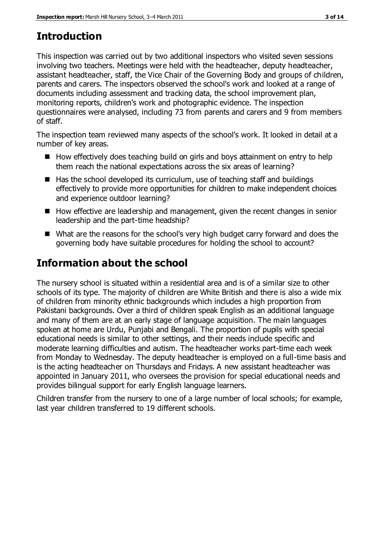# **Introduction**

This inspection was carried out by two additional inspectors who visited seven sessions involving two teachers. Meetings were held with the headteacher, deputy headteacher, assistant headteacher, staff, the Vice Chair of the Governing Body and groups of children, parents and carers. The inspectors observed the school's work and looked at a range of documents including assessment and tracking data, the school improvement plan, monitoring reports, children's work and photographic evidence. The inspection questionnaires were analysed, including 73 from parents and carers and 9 from members of staff.

The inspection team reviewed many aspects of the school's work. It looked in detail at a number of key areas.

- $\blacksquare$  How effectively does teaching build on girls and boys attainment on entry to help them reach the national expectations across the six areas of learning?
- $\blacksquare$  Has the school developed its curriculum, use of teaching staff and buildings effectively to provide more opportunities for children to make independent choices and experience outdoor learning?
- $\blacksquare$  How effective are leadership and management, given the recent changes in senior leadership and the part-time headship?
- What are the reasons for the school's very high budget carry forward and does the governing body have suitable procedures for holding the school to account?

# **Information about the school**

The nursery school is situated within a residential area and is of a similar size to other schools of its type. The majority of children are White British and there is also a wide mix of children from minority ethnic backgrounds which includes a high proportion from Pakistani backgrounds. Over a third of children speak English as an additional language and many of them are at an early stage of language acquisition. The main languages spoken at home are Urdu, Punjabi and Bengali. The proportion of pupils with special educational needs is similar to other settings, and their needs include specific and moderate learning difficulties and autism. The headteacher works part-time each week from Monday to Wednesday. The deputy headteacher is employed on a full-time basis and is the acting headteacher on Thursdays and Fridays. A new assistant headteacher was appointed in January 2011, who oversees the provision for special educational needs and provides bilingual support for early English language learners.

Children transfer from the nursery to one of a large number of local schools; for example, last year children transferred to 19 different schools.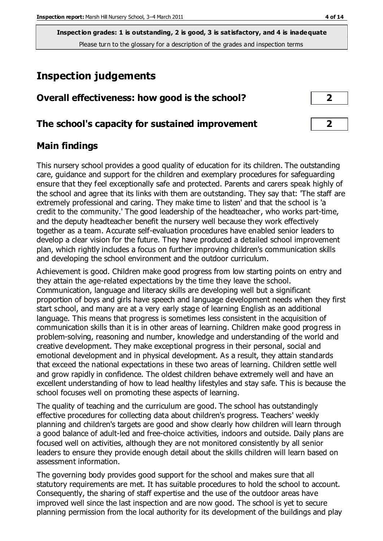## **Inspection judgements**

| Overall effectiveness: how good is the school? |  |  |
|------------------------------------------------|--|--|
|------------------------------------------------|--|--|

## **The school's capacity for sustained improvement 2**

## **Main findings**

This nursery school provides a good quality of education for its children. The outstanding care, guidance and support for the children and exemplary procedures for safeguarding ensure that they feel exceptionally safe and protected. Parents and carers speak highly of the school and agree that its links with them are outstanding. They say that: 'The staff are extremely professional and caring. They make time to listen' and that the school is 'a credit to the community.' The good leadership of the headteacher, who works part-time, and the deputy headteacher benefit the nursery well because they work effectively together as a team. Accurate self-evaluation procedures have enabled senior leaders to develop a clear vision for the future. They have produced a detailed school improvement plan, which rightly includes a focus on further improving children's communication skills and developing the school environment and the outdoor curriculum.

Achievement is good. Children make good progress from low starting points on entry and they attain the age-related expectations by the time they leave the school. Communication, language and literacy skills are developing well but a significant proportion of boys and girls have speech and language development needs when they first start school, and many are at a very early stage of learning English as an additional language. This means that progress is sometimes less consistent in the acquisition of communication skills than it is in other areas of learning. Children make good progress in problem-solving, reasoning and number, knowledge and understanding of the world and creative development. They make exceptional progress in their personal, social and emotional development and in physical development. As a result, they attain standards that exceed the national expectations in these two areas of learning. Children settle well and grow rapidly in confidence. The oldest children behave extremely well and have an excellent understanding of how to lead healthy lifestyles and stay safe. This is because the school focuses well on promoting these aspects of learning.

The quality of teaching and the curriculum are good. The school has outstandingly effective procedures for collecting data about children's progress. Teachers' weekly planning and children's targets are good and show clearly how children will learn through a good balance of adult-led and free-choice activities, indoors and outside. Daily plans are focused well on activities, although they are not monitored consistently by all senior leaders to ensure they provide enough detail about the skills children will learn based on assessment information.

The governing body provides good support for the school and makes sure that all statutory requirements are met. It has suitable procedures to hold the school to account. Consequently, the sharing of staff expertise and the use of the outdoor areas have improved well since the last inspection and are now good. The school is yet to secure planning permission from the local authority for its development of the buildings and play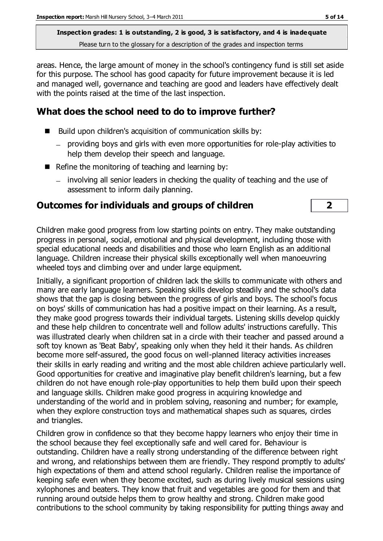areas. Hence, the large amount of money in the school's contingency fund is still set aside for this purpose. The school has good capacity for future improvement because it is led and managed well, governance and teaching are good and leaders have effectively dealt with the points raised at the time of the last inspection.

## **What does the school need to do to improve further?**

- Build upon children's acquisition of communication skills by:
	- providing boys and girls with even more opportunities for role-play activities to help them develop their speech and language.
- Refine the monitoring of teaching and learning by:
	- involving all senior leaders in checking the quality of teaching and the use of assessment to inform daily planning.

## **Outcomes for individuals and groups of children 2**

Children make good progress from low starting points on entry. They make outstanding progress in personal, social, emotional and physical development, including those with special educational needs and disabilities and those who learn English as an additional language. Children increase their physical skills exceptionally well when manoeuvring wheeled toys and climbing over and under large equipment.

Initially, a significant proportion of children lack the skills to communicate with others and many are early language learners. Speaking skills develop steadily and the school's data shows that the gap is closing between the progress of girls and boys. The school's focus on boys' skills of communication has had a positive impact on their learning. As a result, they make good progress towards their individual targets. Listening skills develop quickly and these help children to concentrate well and follow adults' instructions carefully. This was illustrated clearly when children sat in a circle with their teacher and passed around a soft toy known as 'Beat Baby', speaking only when they held it their hands. As children become more self-assured, the good focus on well-planned literacy activities increases their skills in early reading and writing and the most able children achieve particularly well. Good opportunities for creative and imaginative play benefit children's learning, but a few children do not have enough role-play opportunities to help them build upon their speech and language skills. Children make good progress in acquiring knowledge and understanding of the world and in problem solving, reasoning and number; for example, when they explore construction toys and mathematical shapes such as squares, circles and triangles.

Children grow in confidence so that they become happy learners who enjoy their time in the school because they feel exceptionally safe and well cared for. Behaviour is outstanding. Children have a really strong understanding of the difference between right and wrong, and relationships between them are friendly. They respond promptly to adults' high expectations of them and attend school regularly. Children realise the importance of keeping safe even when they become excited, such as during lively musical sessions using xylophones and beaters. They know that fruit and vegetables are good for them and that running around outside helps them to grow healthy and strong. Children make good contributions to the school community by taking responsibility for putting things away and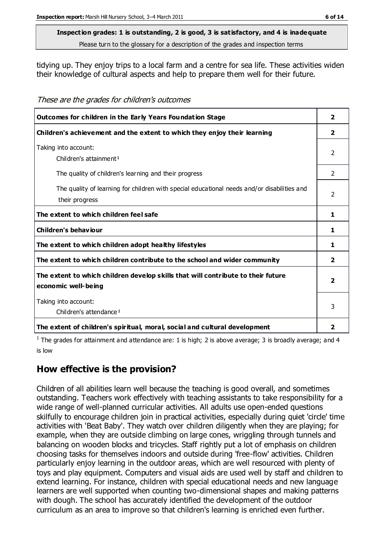## **Inspection grades: 1 is outstanding, 2 is good, 3 is satisfactory, and 4 is inadequate**

Please turn to the glossary for a description of the grades and inspection terms

tidying up. They enjoy trips to a local farm and a centre for sea life. These activities widen their knowledge of cultural aspects and help to prepare them well for their future.

These are the grades for children's outcomes

| Outcomes for children in the Early Years Foundation Stage                                   | $\overline{2}$ |
|---------------------------------------------------------------------------------------------|----------------|
| Children's achievement and the extent to which they enjoy their learning                    | $\mathbf{2}$   |
| Taking into account:                                                                        | $\mathcal{P}$  |
| Children's attainment <sup>1</sup>                                                          |                |
| The quality of children's learning and their progress                                       | 2              |
| The quality of learning for children with special educational needs and/or disabilities and | $\mathcal{P}$  |
| their progress                                                                              |                |
| The extent to which children feel safe                                                      | 1              |
| Children's behaviour                                                                        | 1              |
| The extent to which children adopt healthy lifestyles                                       | 1              |
| The extent to which children contribute to the school and wider community                   | $\overline{2}$ |
| The extent to which children develop skills that will contribute to their future            | 7              |
| economic well-being                                                                         |                |
| Taking into account:                                                                        | 3              |
| Children's attendance <sup>1</sup>                                                          |                |
| The extent of children's spiritual, moral, social and cultural development                  | 2              |

<sup>1</sup> The grades for attainment and attendance are: 1 is high; 2 is above average; 3 is broadly average; and 4 is low

## **How effective is the provision?**

Children of all abilities learn well because the teaching is good overall, and sometimes outstanding. Teachers work effectively with teaching assistants to take responsibility for a wide range of well-planned curricular activities. All adults use open-ended questions skilfully to encourage children join in practical activities, especially during quiet 'circle' time activities with 'Beat Baby'. They watch over children diligently when they are playing; for example, when they are outside climbing on large cones, wriggling through tunnels and balancing on wooden blocks and tricycles. Staff rightly put a lot of emphasis on children choosing tasks for themselves indoors and outside during 'free-flow' activities. Children particularly enjoy learning in the outdoor areas, which are well resourced with plenty of toys and play equipment. Computers and visual aids are used well by staff and children to extend learning. For instance, children with special educational needs and new language learners are well supported when counting two-dimensional shapes and making patterns with dough. The school has accurately identified the development of the outdoor curriculum as an area to improve so that children's learning is enriched even further.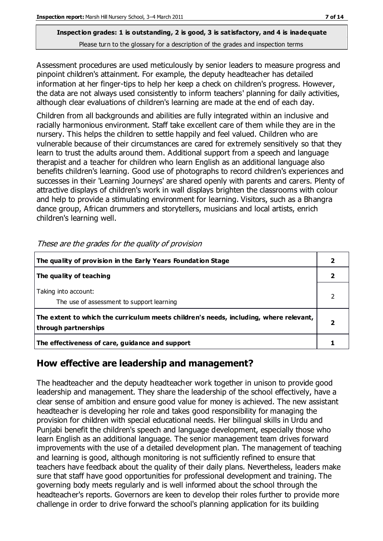Assessment procedures are used meticulously by senior leaders to measure progress and pinpoint children's attainment. For example, the deputy headteacher has detailed information at her finger-tips to help her keep a check on children's progress. However, the data are not always used consistently to inform teachers' planning for daily activities, although clear evaluations of children's learning are made at the end of each day.

Children from all backgrounds and abilities are fully integrated within an inclusive and racially harmonious environment. Staff take excellent care of them while they are in the nursery. This helps the children to settle happily and feel valued. Children who are vulnerable because of their circumstances are cared for extremely sensitively so that they learn to trust the adults around them. Additional support from a speech and language therapist and a teacher for children who learn English as an additional language also benefits children's learning. Good use of photographs to record children's experiences and successes in their 'Learning Journeys' are shared openly with parents and carers. Plenty of attractive displays of children's work in wall displays brighten the classrooms with colour and help to provide a stimulating environment for learning. Visitors, such as a Bhangra dance group, African drummers and storytellers, musicians and local artists, enrich children's learning well.

| The quality of provision in the Early Years Foundation Stage                                                  |  |
|---------------------------------------------------------------------------------------------------------------|--|
| The quality of teaching                                                                                       |  |
| Taking into account:<br>The use of assessment to support learning                                             |  |
| The extent to which the curriculum meets children's needs, including, where relevant,<br>through partnerships |  |
| The effectiveness of care, guidance and support                                                               |  |

These are the grades for the quality of provision

## **How effective are leadership and management?**

The headteacher and the deputy headteacher work together in unison to provide good leadership and management. They share the leadership of the school effectively, have a clear sense of ambition and ensure good value for money is achieved. The new assistant headteacher is developing her role and takes good responsibility for managing the provision for children with special educational needs. Her bilingual skills in Urdu and Punjabi benefit the children's speech and language development, especially those who learn English as an additional language. The senior management team drives forward improvements with the use of a detailed development plan. The management of teaching and learning is good, although monitoring is not sufficiently refined to ensure that teachers have feedback about the quality of their daily plans. Nevertheless, leaders make sure that staff have good opportunities for professional development and training. The governing body meets regularly and is well informed about the school through the headteacher's reports. Governors are keen to develop their roles further to provide more challenge in order to drive forward the school's planning application for its building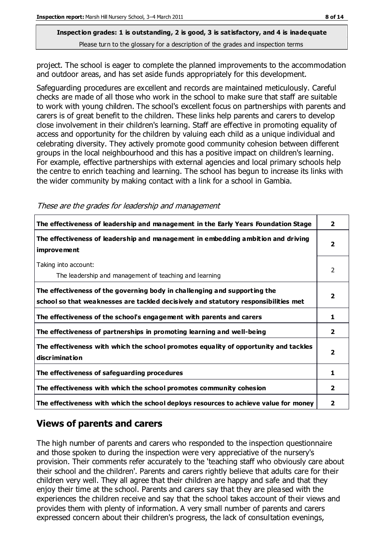project. The school is eager to complete the planned improvements to the accommodation and outdoor areas, and has set aside funds appropriately for this development.

Safeguarding procedures are excellent and records are maintained meticulously. Careful checks are made of all those who work in the school to make sure that staff are suitable to work with young children. The school's excellent focus on partnerships with parents and carers is of great benefit to the children. These links help parents and carers to develop close involvement in their children's learning. Staff are effective in promoting equality of access and opportunity for the children by valuing each child as a unique individual and celebrating diversity. They actively promote good community cohesion between different groups in the local neighbourhood and this has a positive impact on children's learning. For example, effective partnerships with external agencies and local primary schools help the centre to enrich teaching and learning. The school has begun to increase its links with the wider community by making contact with a link for a school in Gambia.

|  |  |  |  |  |  | These are the grades for leadership and management |
|--|--|--|--|--|--|----------------------------------------------------|
|--|--|--|--|--|--|----------------------------------------------------|

| The effectiveness of leadership and management in the Early Years Foundation Stage                                                                               | $\overline{2}$ |
|------------------------------------------------------------------------------------------------------------------------------------------------------------------|----------------|
| The effectiveness of leadership and management in embedding ambition and driving<br><i>improvement</i>                                                           | $\mathbf{2}$   |
| Taking into account:<br>The leadership and management of teaching and learning                                                                                   | $\overline{2}$ |
| The effectiveness of the governing body in challenging and supporting the<br>school so that weaknesses are tackled decisively and statutory responsibilities met | $\overline{2}$ |
| The effectiveness of the school's engagement with parents and carers                                                                                             | 1              |
| The effectiveness of partnerships in promoting learning and well-being                                                                                           | 2              |
| The effectiveness with which the school promotes equality of opportunity and tackles<br>discrimination                                                           | $\overline{2}$ |
| The effectiveness of safeguarding procedures                                                                                                                     | 1              |
| The effectiveness with which the school promotes community cohesion                                                                                              | 2              |
| The effectiveness with which the school deploys resources to achieve value for money                                                                             | 2              |

#### **Views of parents and carers**

The high number of parents and carers who responded to the inspection questionnaire and those spoken to during the inspection were very appreciative of the nursery's provision. Their comments refer accurately to the 'teaching staff who obviously care about their school and the children'. Parents and carers rightly believe that adults care for their children very well. They all agree that their children are happy and safe and that they enjoy their time at the school. Parents and carers say that they are pleased with the experiences the children receive and say that the school takes account of their views and provides them with plenty of information. A very small number of parents and carers expressed concern about their children's progress, the lack of consultation evenings,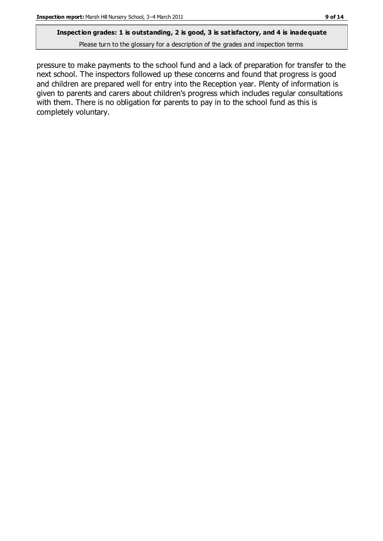#### **Inspection grades: 1 is outstanding, 2 is good, 3 is satisfactory, and 4 is inadequate**

Please turn to the glossary for a description of the grades and inspection terms

pressure to make payments to the school fund and a lack of preparation for transfer to the next school. The inspectors followed up these concerns and found that progress is good and children are prepared well for entry into the Reception year. Plenty of information is given to parents and carers about children's progress which includes regular consultations with them. There is no obligation for parents to pay in to the school fund as this is completely voluntary.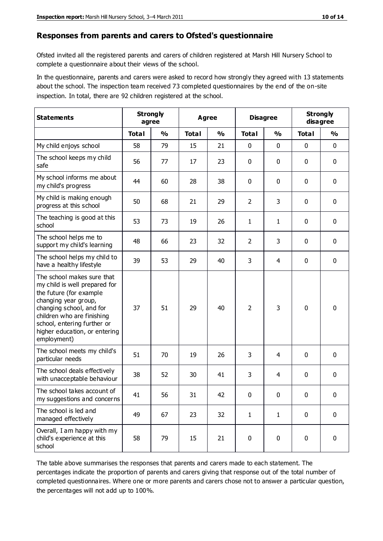#### **Responses from parents and carers to Ofsted's questionnaire**

Ofsted invited all the registered parents and carers of children registered at Marsh Hill Nursery School to complete a questionnaire about their views of the school.

In the questionnaire, parents and carers were asked to record how strongly they agreed with 13 statements about the school. The inspection team received 73 completed questionnaires by the end of the on-site inspection. In total, there are 92 children registered at the school.

| <b>Statements</b>                                                                                                                                                                                                                                       | <b>Strongly</b><br>agree |               |              | <b>Agree</b>  |                | <b>Disagree</b> | <b>Strongly</b> | disagree      |
|---------------------------------------------------------------------------------------------------------------------------------------------------------------------------------------------------------------------------------------------------------|--------------------------|---------------|--------------|---------------|----------------|-----------------|-----------------|---------------|
|                                                                                                                                                                                                                                                         | <b>Total</b>             | $\frac{0}{0}$ | <b>Total</b> | $\frac{0}{0}$ | <b>Total</b>   | $\frac{0}{0}$   | <b>Total</b>    | $\frac{0}{0}$ |
| My child enjoys school                                                                                                                                                                                                                                  | 58                       | 79            | 15           | 21            | 0              | $\mathbf 0$     | 0               | $\mathbf 0$   |
| The school keeps my child<br>safe                                                                                                                                                                                                                       | 56                       | 77            | 17           | 23            | 0              | $\mathbf 0$     | 0               | $\pmb{0}$     |
| My school informs me about<br>my child's progress                                                                                                                                                                                                       | 44                       | 60            | 28           | 38            | 0              | $\mathbf 0$     | $\mathbf 0$     | $\mathbf 0$   |
| My child is making enough<br>progress at this school                                                                                                                                                                                                    | 50                       | 68            | 21           | 29            | $\overline{2}$ | 3               | $\mathbf 0$     | $\mathbf 0$   |
| The teaching is good at this<br>school                                                                                                                                                                                                                  | 53                       | 73            | 19           | 26            | $\mathbf{1}$   | 1               | 0               | 0             |
| The school helps me to<br>support my child's learning                                                                                                                                                                                                   | 48                       | 66            | 23           | 32            | $\overline{2}$ | 3               | 0               | $\mathbf 0$   |
| The school helps my child to<br>have a healthy lifestyle                                                                                                                                                                                                | 39                       | 53            | 29           | 40            | 3              | $\overline{4}$  | 0               | $\pmb{0}$     |
| The school makes sure that<br>my child is well prepared for<br>the future (for example<br>changing year group,<br>changing school, and for<br>children who are finishing<br>school, entering further or<br>higher education, or entering<br>employment) | 37                       | 51            | 29           | 40            | $\overline{2}$ | 3               | $\mathbf 0$     | $\mathbf 0$   |
| The school meets my child's<br>particular needs                                                                                                                                                                                                         | 51                       | 70            | 19           | 26            | 3              | 4               | $\mathbf 0$     | $\mathbf 0$   |
| The school deals effectively<br>with unacceptable behaviour                                                                                                                                                                                             | 38                       | 52            | 30           | 41            | 3              | 4               | 0               | 0             |
| The school takes account of<br>my suggestions and concerns                                                                                                                                                                                              | 41                       | 56            | 31           | 42            | 0              | 0               | 0               | 0             |
| The school is led and<br>managed effectively                                                                                                                                                                                                            | 49                       | 67            | 23           | 32            | $\mathbf{1}$   | $\mathbf{1}$    | $\mathbf 0$     | $\mathbf 0$   |
| Overall, I am happy with my<br>child's experience at this<br>school                                                                                                                                                                                     | 58                       | 79            | 15           | 21            | $\pmb{0}$      | $\mathbf 0$     | $\mathbf 0$     | $\pmb{0}$     |

The table above summarises the responses that parents and carers made to each statement. The percentages indicate the proportion of parents and carers giving that response out of the total number of completed questionnaires. Where one or more parents and carers chose not to answer a particular question, the percentages will not add up to 100%.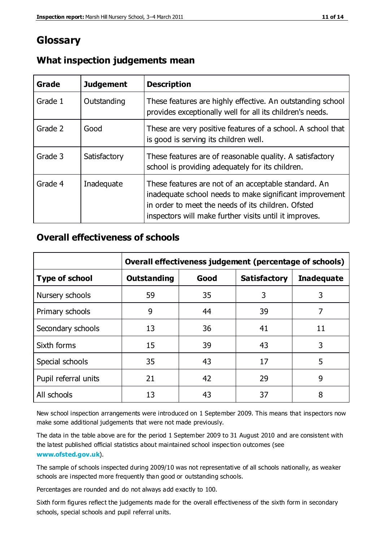## **Glossary**

| Grade   | <b>Judgement</b> | <b>Description</b>                                                                                                                                                                                                              |
|---------|------------------|---------------------------------------------------------------------------------------------------------------------------------------------------------------------------------------------------------------------------------|
| Grade 1 | Outstanding      | These features are highly effective. An outstanding school<br>provides exceptionally well for all its children's needs.                                                                                                         |
| Grade 2 | Good             | These are very positive features of a school. A school that<br>is good is serving its children well.                                                                                                                            |
| Grade 3 | Satisfactory     | These features are of reasonable quality. A satisfactory<br>school is providing adequately for its children.                                                                                                                    |
| Grade 4 | Inadequate       | These features are not of an acceptable standard. An<br>inadequate school needs to make significant improvement<br>in order to meet the needs of its children. Ofsted<br>inspectors will make further visits until it improves. |

#### **What inspection judgements mean**

#### **Overall effectiveness of schools**

|                       | Overall effectiveness judgement (percentage of schools) |      |                     |                   |
|-----------------------|---------------------------------------------------------|------|---------------------|-------------------|
| <b>Type of school</b> | <b>Outstanding</b>                                      | Good | <b>Satisfactory</b> | <b>Inadequate</b> |
| Nursery schools       | 59                                                      | 35   | 3                   | 3                 |
| Primary schools       | 9                                                       | 44   | 39                  | 7                 |
| Secondary schools     | 13                                                      | 36   | 41                  | 11                |
| Sixth forms           | 15                                                      | 39   | 43                  | 3                 |
| Special schools       | 35                                                      | 43   | 17                  | 5                 |
| Pupil referral units  | 21                                                      | 42   | 29                  | 9                 |
| All schools           | 13                                                      | 43   | 37                  | 8                 |

New school inspection arrangements were introduced on 1 September 2009. This means that inspectors now make some additional judgements that were not made previously.

The data in the table above are for the period 1 September 2009 to 31 August 2010 and are consistent with the latest published official statistics about maintained school inspec tion outcomes (see **[www.ofsted.gov.uk](http://www.ofsted.gov.uk/)**).

The sample of schools inspected during 2009/10 was not representative of all schools nationally, as weaker schools are inspected more frequently than good or outstanding schools.

Percentages are rounded and do not always add exactly to 100.

Sixth form figures reflect the judgements made for the overall effectiveness of the sixth form in secondary schools, special schools and pupil referral units.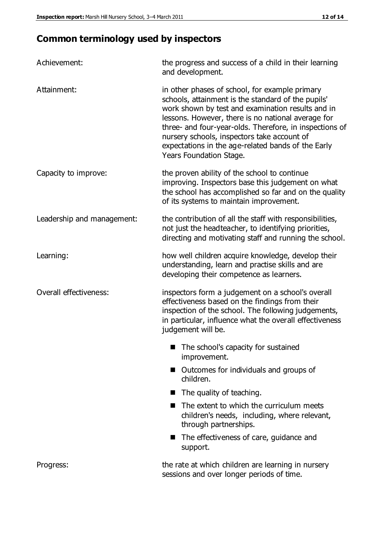## **Common terminology used by inspectors**

| Achievement:               | the progress and success of a child in their learning<br>and development.                                                                                                                                                                                                                                                                                                                                  |
|----------------------------|------------------------------------------------------------------------------------------------------------------------------------------------------------------------------------------------------------------------------------------------------------------------------------------------------------------------------------------------------------------------------------------------------------|
| Attainment:                | in other phases of school, for example primary<br>schools, attainment is the standard of the pupils'<br>work shown by test and examination results and in<br>lessons. However, there is no national average for<br>three- and four-year-olds. Therefore, in inspections of<br>nursery schools, inspectors take account of<br>expectations in the age-related bands of the Early<br>Years Foundation Stage. |
| Capacity to improve:       | the proven ability of the school to continue<br>improving. Inspectors base this judgement on what<br>the school has accomplished so far and on the quality<br>of its systems to maintain improvement.                                                                                                                                                                                                      |
| Leadership and management: | the contribution of all the staff with responsibilities,<br>not just the headteacher, to identifying priorities,<br>directing and motivating staff and running the school.                                                                                                                                                                                                                                 |
| Learning:                  | how well children acquire knowledge, develop their<br>understanding, learn and practise skills and are<br>developing their competence as learners.                                                                                                                                                                                                                                                         |
| Overall effectiveness:     | inspectors form a judgement on a school's overall<br>effectiveness based on the findings from their<br>inspection of the school. The following judgements,<br>in particular, influence what the overall effectiveness<br>judgement will be.                                                                                                                                                                |
|                            | The school's capacity for sustained<br>improvement.                                                                                                                                                                                                                                                                                                                                                        |
|                            | Outcomes for individuals and groups of<br>children.                                                                                                                                                                                                                                                                                                                                                        |
|                            | The quality of teaching.<br><b>In the case of the case of the case of the case of the case of the case of the case of the case of the case of the case of the case of the case of the case of the case of the case of the case of the case of the case of th</b>                                                                                                                                           |
|                            | The extent to which the curriculum meets<br>children's needs, including, where relevant,<br>through partnerships.                                                                                                                                                                                                                                                                                          |
|                            | The effectiveness of care, guidance and<br>support.                                                                                                                                                                                                                                                                                                                                                        |
| Progress:                  | the rate at which children are learning in nursery<br>sessions and over longer periods of time.                                                                                                                                                                                                                                                                                                            |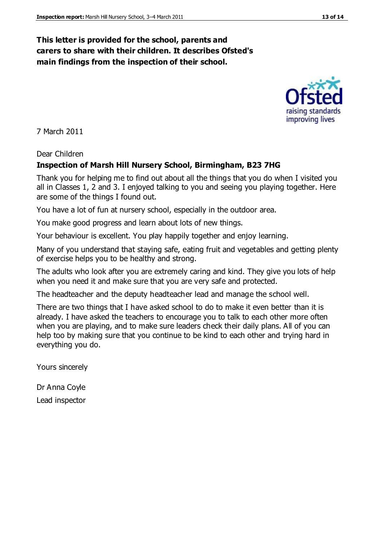#### **This letter is provided for the school, parents and carers to share with their children. It describes Ofsted's main findings from the inspection of their school.**

7 March 2011

Dear Children

#### **Inspection of Marsh Hill Nursery School, Birmingham, B23 7HG**

Thank you for helping me to find out about all the things that you do when I visited you all in Classes 1, 2 and 3. I enjoyed talking to you and seeing you playing together. Here are some of the things I found out.

You have a lot of fun at nursery school, especially in the outdoor area.

You make good progress and learn about lots of new things.

Your behaviour is excellent. You play happily together and enjoy learning.

Many of you understand that staying safe, eating fruit and vegetables and getting plenty of exercise helps you to be healthy and strong.

The adults who look after you are extremely caring and kind. They give you lots of help when you need it and make sure that you are very safe and protected.

The headteacher and the deputy headteacher lead and manage the school well.

There are two things that I have asked school to do to make it even better than it is already. I have asked the teachers to encourage you to talk to each other more often when you are playing, and to make sure leaders check their daily plans. All of you can help too by making sure that you continue to be kind to each other and trying hard in everything you do.

Yours sincerely

Dr Anna Coyle Lead inspector